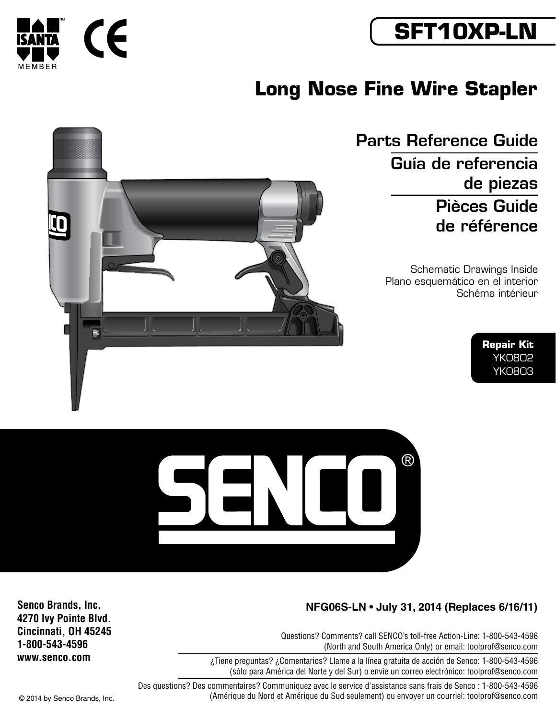

# **Long Nose Fine Wire Stapler**

Parts Reference Guide Guía de referencia de piezas Pièces Guide de référence

> Schematic Drawings Inside Plano esquemático en el interior Schéma intérieur

> > **Repair Kit** YK0802 YK0803



## **NFG06S-LN • July 31, 2014 (Replaces 6/16/11)**

Questions? Comments? call SENCO's toll-free Action-Line: 1-800-543-4596 (North and South America Only) or email: toolprof@senco.com

¿Tiene preguntas? ¿Comentarios? Llame a la línea gratuita de acción de Senco: 1-800-543-4596 (sólo para América del Norte y del Sur) o envíe un correo electrónico: toolprof@senco.com

Des questions? Des commentaires? Communiquez avec le service d'assistance sans frais de Senco : 1-800-543-4596 © 2014 by Senco Brands, Inc. (Amérique du Nord et Amérique du Sud seulement) ou envoyer un courriel: toolprof@senco.com

**Senco Brands, Inc. 4270 Ivy Pointe Blvd. Cincinnati, OH 45245 1-800-543-4596 www.senco.com**



Fı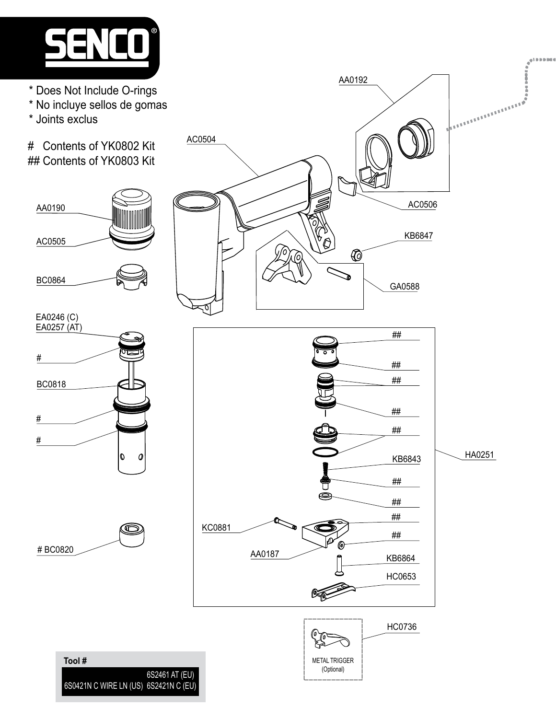

- \* Does Not Include O-rings
- \* No incluye sellos de gomas
- \* Joints exclus

# Contents of YK0802 Kit ## Contents of YK0803 Kit











AA0192



**Tool #** 6S0421N C WIRE LN (US) 6S2421N C (EU) 6S2461 AT (EU)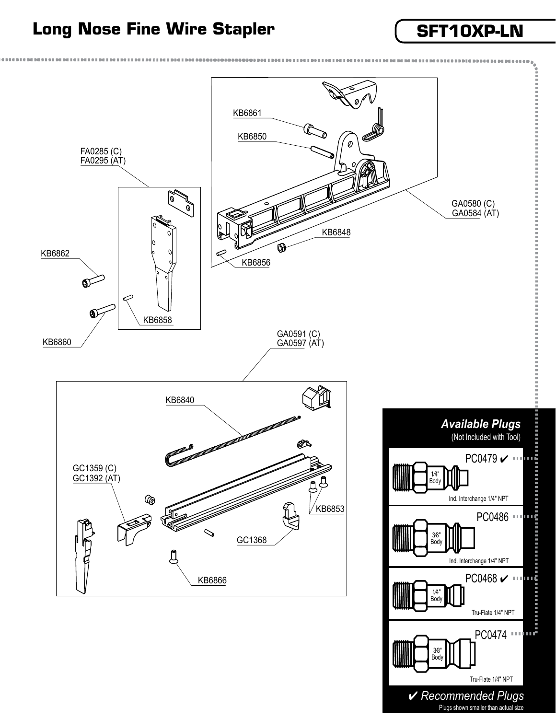## Long Nose Fine Wire Stapler **SET10XP-LN**



4 *Recommended Plugs* Plugs shown smaller than actual size